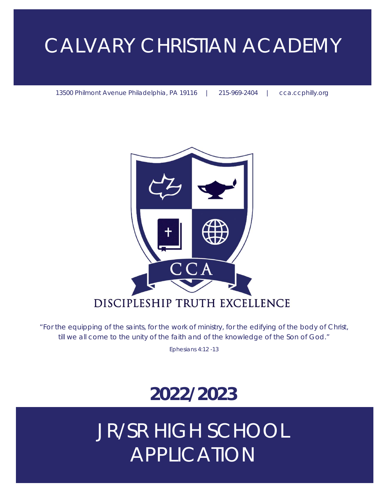# CALVARY CHRISTIAN ACADEMY

13500 Philmont Avenue Philadelphia, PA 19116 | 215-969-2404 | cca.ccphilly.org



"For the equipping of the saints, for the work of ministry, for the edifying of the body of Christ, till we all come to the unity of the faith and of the knowledge of the Son of God."

Ephesians 4:12 -13

# **2022/2023**

OL

DE

JR/SR HIGH SCHOOL APPLICATION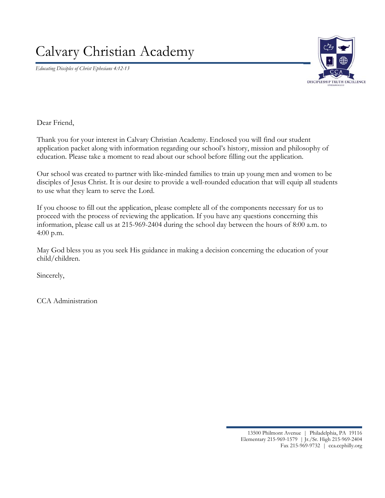# Calvary Christian Academy

*Educating Disciples of Christ Ephesians 4:12-13* 



Dear Friend,

Thank you for your interest in Calvary Christian Academy. Enclosed you will find our student application packet along with information regarding our school's history, mission and philosophy of education. Please take a moment to read about our school before filling out the application.

Our school was created to partner with like-minded families to train up young men and women to be disciples of Jesus Christ. It is our desire to provide a well-rounded education that will equip all students to use what they learn to serve the Lord.

If you choose to fill out the application, please complete all of the components necessary for us to proceed with the process of reviewing the application. If you have any questions concerning this information, please call us at 215-969-2404 during the school day between the hours of 8:00 a.m. to 4:00 p.m.

May God bless you as you seek His guidance in making a decision concerning the education of your child/children.

Sincerely,

CCA Administration

<sup>13500</sup> Philmont Avenue | Philadelphia, PA 19116 Elementary 215-969-1579 | Jr./Sr. High 215-969-2404 Fax 215-969-9732 | cca.ccphilly.org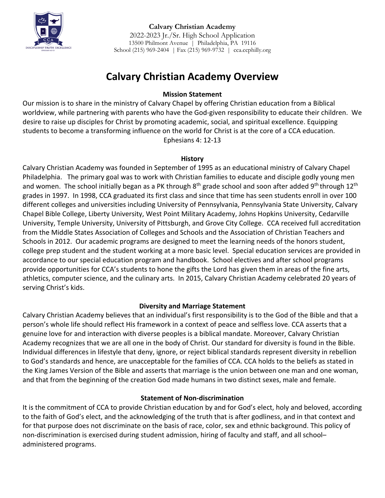

**Calvary Christian Academy**  2022-2023 Jr./Sr. High School Application 13500 Philmont Avenue | Philadelphia, PA 19116 School (215) 969-2404 | Fax (215) 969-9732 | cca.ccphilly.org

# **Calvary Christian Academy Overview**

# **Mission Statement**

Our mission is to share in the ministry of Calvary Chapel by offering Christian education from a Biblical worldview, while partnering with parents who have the God-given responsibility to educate their children. We desire to raise up disciples for Christ by promoting academic, social, and spiritual excellence. Equipping students to become a transforming influence on the world for Christ is at the core of a CCA education. Ephesians 4: 12‐13

# **History**

Calvary Christian Academy was founded in September of 1995 as an educational ministry of Calvary Chapel Philadelphia. The primary goal was to work with Christian families to educate and disciple godly young men and women. The school initially began as a PK through 8<sup>th</sup> grade school and soon after added 9<sup>th</sup> through 12<sup>th</sup> grades in 1997. In 1998, CCA graduated its first class and since that time has seen students enroll in over 100 different colleges and universities including University of Pennsylvania, Pennsylvania State University, Calvary Chapel Bible College, Liberty University, West Point Military Academy, Johns Hopkins University, Cedarville University, Temple University, University of Pittsburgh, and Grove City College. CCA received full accreditation from the Middle States Association of Colleges and Schools and the Association of Christian Teachers and Schools in 2012. Our academic programs are designed to meet the learning needs of the honors student, college prep student and the student working at a more basic level. Special education services are provided in accordance to our special education program and handbook. School electives and after school programs provide opportunities for CCA's students to hone the gifts the Lord has given them in areas of the fine arts, athletics, computer science, and the culinary arts. In 2015, Calvary Christian Academy celebrated 20 years of serving Christ's kids.

# **Diversity and Marriage Statement**

Calvary Christian Academy believes that an individual's first responsibility is to the God of the Bible and that a person's whole life should reflect His framework in a context of peace and selfless love. CCA asserts that a genuine love for and interaction with diverse peoples is a biblical mandate. Moreover, Calvary Christian Academy recognizes that we are all one in the body of Christ. Our standard for diversity is found in the Bible. Individual differences in lifestyle that deny, ignore, or reject biblical standards represent diversity in rebellion to God's standards and hence, are unacceptable for the families of CCA. CCA holds to the beliefs as stated in the King James Version of the Bible and asserts that marriage is the union between one man and one woman, and that from the beginning of the creation God made humans in two distinct sexes, male and female.

# **Statement of Non‐discrimination**

It is the commitment of CCA to provide Christian education by and for God's elect, holy and beloved, according to the faith of God's elect, and the acknowledging of the truth that is after godliness, and in that context and for that purpose does not discriminate on the basis of race, color, sex and ethnic background. This policy of non-discrimination is exercised during student admission, hiring of faculty and staff, and all schooladministered programs.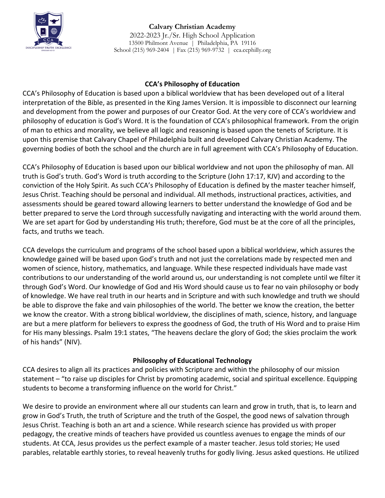

**Calvary Christian Academy**  2022-2023 Jr./Sr. High School Application 13500 Philmont Avenue | Philadelphia, PA 19116 School (215) 969-2404 | Fax (215) 969-9732 | cca.ccphilly.org

# **CCA's Philosophy of Education**

CCA's Philosophy of Education is based upon a biblical worldview that has been developed out of a literal interpretation of the Bible, as presented in the King James Version. It is impossible to disconnect our learning and development from the power and purposes of our Creator God. At the very core of CCA's worldview and philosophy of education is God's Word. It is the foundation of CCA's philosophical framework. From the origin of man to ethics and morality, we believe all logic and reasoning is based upon the tenets of Scripture. It is upon this premise that Calvary Chapel of Philadelphia built and developed Calvary Christian Academy. The governing bodies of both the school and the church are in full agreement with CCA's Philosophy of Education.

CCA's Philosophy of Education is based upon our biblical worldview and not upon the philosophy of man. All truth is God's truth. God's Word is truth according to the Scripture (John 17:17, KJV) and according to the conviction of the Holy Spirit. As such CCA's Philosophy of Education is defined by the master teacher himself, Jesus Christ. Teaching should be personal and individual. All methods, instructional practices, activities, and assessments should be geared toward allowing learners to better understand the knowledge of God and be better prepared to serve the Lord through successfully navigating and interacting with the world around them. We are set apart for God by understanding His truth; therefore, God must be at the core of all the principles, facts, and truths we teach.

CCA develops the curriculum and programs of the school based upon a biblical worldview, which assures the knowledge gained will be based upon God's truth and not just the correlations made by respected men and women of science, history, mathematics, and language. While these respected individuals have made vast contributions to our understanding of the world around us, our understanding is not complete until we filter it through God's Word. Our knowledge of God and His Word should cause us to fear no vain philosophy or body of knowledge. We have real truth in our hearts and in Scripture and with such knowledge and truth we should be able to disprove the fake and vain philosophies of the world. The better we know the creation, the better we know the creator. With a strong biblical worldview, the disciplines of math, science, history, and language are but a mere platform for believers to express the goodness of God, the truth of His Word and to praise Him for His many blessings. Psalm 19:1 states, "The heavens declare the glory of God; the skies proclaim the work of his hands" (NIV).

# **Philosophy of Educational Technology**

CCA desires to align all its practices and policies with Scripture and within the philosophy of our mission statement – "to raise up disciples for Christ by promoting academic, social and spiritual excellence. Equipping students to become a transforming influence on the world for Christ."

We desire to provide an environment where all our students can learn and grow in truth, that is, to learn and grow in God's Truth, the truth of Scripture and the truth of the Gospel, the good news of salvation through Jesus Christ. Teaching is both an art and a science. While research science has provided us with proper pedagogy, the creative minds of teachers have provided us countless avenues to engage the minds of our students. At CCA, Jesus provides us the perfect example of a master teacher. Jesus told stories; He used parables, relatable earthly stories, to reveal heavenly truths for godly living. Jesus asked questions. He utilized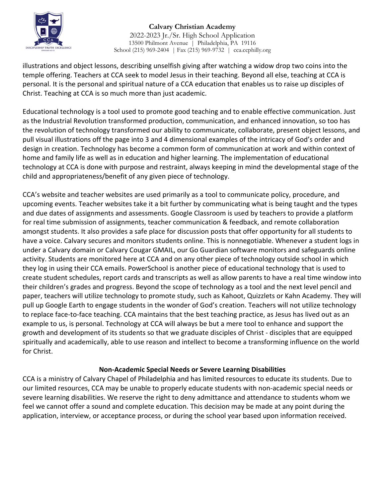

**Calvary Christian Academy**  2022-2023 Jr./Sr. High School Application 13500 Philmont Avenue | Philadelphia, PA 19116 School (215) 969-2404 | Fax (215) 969-9732 | cca.ccphilly.org

illustrations and object lessons, describing unselfish giving after watching a widow drop two coins into the temple offering. Teachers at CCA seek to model Jesus in their teaching. Beyond all else, teaching at CCA is personal. It is the personal and spiritual nature of a CCA education that enables us to raise up disciples of Christ. Teaching at CCA is so much more than just academic.

Educational technology is a tool used to promote good teaching and to enable effective communication. Just as the Industrial Revolution transformed production, communication, and enhanced innovation, so too has the revolution of technology transformed our ability to communicate, collaborate, present object lessons, and pull visual illustrations off the page into 3 and 4 dimensional examples of the intricacy of God's order and design in creation. Technology has become a common form of communication at work and within context of home and family life as well as in education and higher learning. The implementation of educational technology at CCA is done with purpose and restraint, always keeping in mind the developmental stage of the child and appropriateness/benefit of any given piece of technology.

CCA's website and teacher websites are used primarily as a tool to communicate policy, procedure, and upcoming events. Teacher websites take it a bit further by communicating what is being taught and the types and due dates of assignments and assessments. Google Classroom is used by teachers to provide a platform for real time submission of assignments, teacher communication & feedback, and remote collaboration amongst students. It also provides a safe place for discussion posts that offer opportunity for all students to have a voice. Calvary secures and monitors students online. This is nonnegotiable. Whenever a student logs in under a Calvary domain or Calvary Cougar GMAIL, our Go Guardian software monitors and safeguards online activity. Students are monitored here at CCA and on any other piece of technology outside school in which they log in using their CCA emails. PowerSchool is another piece of educational technology that is used to create student schedules, report cards and transcripts as well as allow parents to have a real time window into their children's grades and progress. Beyond the scope of technology as a tool and the next level pencil and paper, teachers will utilize technology to promote study, such as Kahoot, Quizzlets or Kahn Academy. They will pull up Google Earth to engage students in the wonder of God's creation. Teachers will not utilize technology to replace face‐to‐face teaching. CCA maintains that the best teaching practice, as Jesus has lived out as an example to us, is personal. Technology at CCA will always be but a mere tool to enhance and support the growth and development of its students so that we graduate disciples of Christ ‐ disciples that are equipped spiritually and academically, able to use reason and intellect to become a transforming influence on the world for Christ.

# **Non‐Academic Special Needs or Severe Learning Disabilities**

CCA is a ministry of Calvary Chapel of Philadelphia and has limited resources to educate its students. Due to our limited resources, CCA may be unable to properly educate students with non‐academic special needs or severe learning disabilities. We reserve the right to deny admittance and attendance to students whom we feel we cannot offer a sound and complete education. This decision may be made at any point during the application, interview, or acceptance process, or during the school year based upon information received.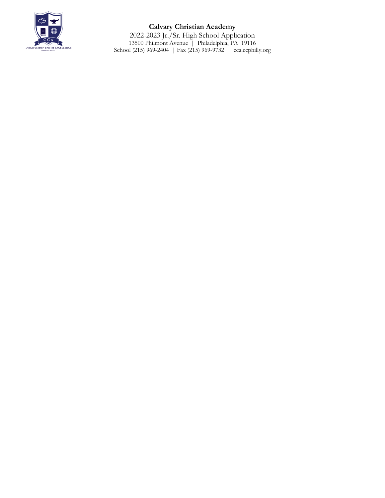

# **Calvary Christian Academy**

2022-2023 Jr./Sr. High School Application 13500 Philmont Avenue | Philadelphia, PA 19116 School (215) 969-2404 | Fax (215) 969-9732 | cca.ccphilly.org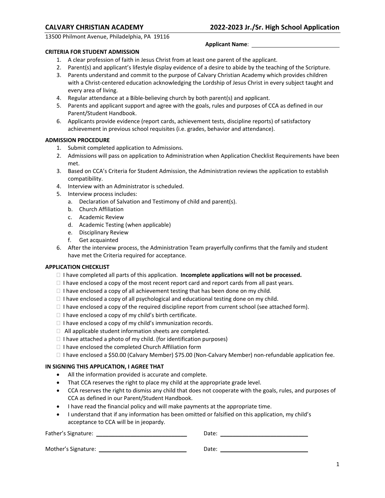## **Applicant Name**:

### **CRITERIA FOR STUDENT ADMISSION**

- 1. A clear profession of faith in Jesus Christ from at least one parent of the applicant.
- 2. Parent(s) and applicant's lifestyle display evidence of a desire to abide by the teaching of the Scripture.
- 3. Parents understand and commit to the purpose of Calvary Christian Academy which provides children with a Christ-centered education acknowledging the Lordship of Jesus Christ in every subject taught and every area of living.
- 4. Regular attendance at a Bible‐believing church by both parent(s) and applicant.
- 5. Parents and applicant support and agree with the goals, rules and purposes of CCA as defined in our Parent/Student Handbook.
- 6. Applicants provide evidence (report cards, achievement tests, discipline reports) of satisfactory achievement in previous school requisites (i.e. grades, behavior and attendance).

## **ADMISSION PROCEDURE**

- 1. Submit completed application to Admissions.
- 2. Admissions will pass on application to Administration when Application Checklist Requirements have been met.
- 3. Based on CCA's Criteria for Student Admission, the Administration reviews the application to establish compatibility.
- 4. Interview with an Administrator is scheduled.
- 5. Interview process includes:
	- a. Declaration of Salvation and Testimony of child and parent(s).
	- b. Church Affiliation
	- c. Academic Review
	- d. Academic Testing (when applicable)
	- e. Disciplinary Review
	- f. Get acquainted
- 6. After the interview process, the Administration Team prayerfully confirms that the family and student have met the Criteria required for acceptance.

### **APPLICATION CHECKLIST**

- □ I have completed all parts of this application. **Incomplete applications will not be processed.**
- $\Box$  I have enclosed a copy of the most recent report card and report cards from all past years.
- $\Box$  I have enclosed a copy of all achievement testing that has been done on my child.
- $\Box$  I have enclosed a copy of all psychological and educational testing done on my child.
- $\Box$  I have enclosed a copy of the required discipline report from current school (see attached form).
- $\Box$  I have enclosed a copy of my child's birth certificate.
- $\Box$  I have enclosed a copy of my child's immunization records.
- $\Box$  All applicable student information sheets are completed.
- $\Box$  I have attached a photo of my child. (for identification purposes)
- $\Box$  I have enclosed the completed Church Affiliation form
- I have enclosed a \$50.00 (Calvary Member) \$75.00 (Non‐Calvary Member) non‐refundable application fee.

### **IN SIGNING THIS APPLICATION, I AGREE THAT**

- All the information provided is accurate and complete.
- That CCA reserves the right to place my child at the appropriate grade level.
- CCA reserves the right to dismiss any child that does not cooperate with the goals, rules, and purposes of CCA as defined in our Parent/Student Handbook.
- I have read the financial policy and will make payments at the appropriate time.
- I understand that if any information has been omitted or falsified on this application, my child's acceptance to CCA will be in jeopardy.

Father's Signature: \_\_\_\_\_\_\_\_\_\_\_\_\_\_\_\_\_\_\_\_\_\_\_\_\_\_\_\_\_ Date: \_\_\_\_\_\_\_\_\_\_\_\_\_\_\_\_\_\_\_\_\_\_\_\_\_\_\_\_

Mother's Signature: \_\_\_\_\_\_\_\_\_\_\_\_\_\_\_\_\_\_\_\_\_\_\_\_\_\_\_\_ Date: \_\_\_\_\_\_\_\_\_\_\_\_\_\_\_\_\_\_\_\_\_\_\_\_\_\_\_\_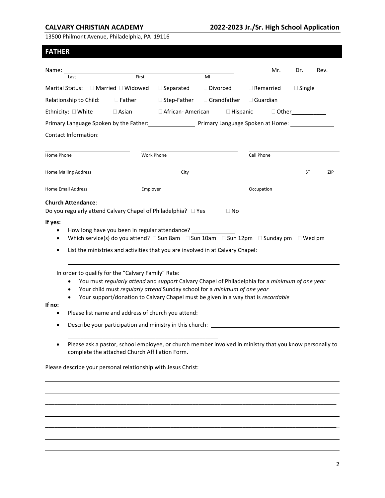| Mr.<br>Dr.<br>Rev.<br>Name:<br>First<br>MI<br>Last<br>Marital Status:<br>$\Box$ Married $\Box$ Widowed<br>$\Box$ Separated<br>□ Divorced<br>$\Box$ Remarried<br>$\square$ Single<br>Relationship to Child:<br>$\Box$ Grandfather<br>$\Box$ Father<br>$\Box$ Step-Father<br>$\Box$ Guardian<br>□ African- American<br>Ethnicity: $\Box$ White<br>$\Box$ Asian<br>$\Box$ Hispanic<br>$\Box$ Other<br>Primary Language Spoken by the Father: <b>Noting the Servey Commany Language Spoken at Home</b> : 1997 Communisty Commun<br><b>Contact Information:</b><br>Work Phone<br>Cell Phone<br>Home Phone<br><b>Home Mailing Address</b><br><b>ST</b><br>City<br>ZIP<br>Employer<br>Occupation<br><b>Home Email Address</b><br><b>Church Attendance:</b><br>Do you regularly attend Calvary Chapel of Philadelphia? □ Yes<br>$\Box$ No<br>If yes:<br>How long have you been in regular attendance?<br>Which service(s) do you attend? □ Sun 8am □ Sun 10am □ Sun 12pm □ Sunday pm □ Wed pm<br>٠<br>List the ministries and activities that you are involved in at Calvary Chapel: _____________________<br>In order to qualify for the "Calvary Family" Rate:<br>You must regularly attend and support Calvary Chapel of Philadelphia for a minimum of one year<br>Your child must regularly attend Sunday school for a minimum of one year<br>$\bullet$<br>Your support/donation to Calvary Chapel must be given in a way that is recordable<br>$\bullet$<br>If no:<br>Please list name and address of church you attend:<br>Describe your participation and ministry in this church:<br>Please ask a pastor, school employee, or church member involved in ministry that you know personally to<br>complete the attached Church Affiliation Form.<br>Please describe your personal relationship with Jesus Christ: | <b>FATHER</b> |  |  |
|-----------------------------------------------------------------------------------------------------------------------------------------------------------------------------------------------------------------------------------------------------------------------------------------------------------------------------------------------------------------------------------------------------------------------------------------------------------------------------------------------------------------------------------------------------------------------------------------------------------------------------------------------------------------------------------------------------------------------------------------------------------------------------------------------------------------------------------------------------------------------------------------------------------------------------------------------------------------------------------------------------------------------------------------------------------------------------------------------------------------------------------------------------------------------------------------------------------------------------------------------------------------------------------------------------------------------------------------------------------------------------------------------------------------------------------------------------------------------------------------------------------------------------------------------------------------------------------------------------------------------------------------------------------------------------------------------------------------------------------------------------------------------------------------------------------------|---------------|--|--|
|                                                                                                                                                                                                                                                                                                                                                                                                                                                                                                                                                                                                                                                                                                                                                                                                                                                                                                                                                                                                                                                                                                                                                                                                                                                                                                                                                                                                                                                                                                                                                                                                                                                                                                                                                                                                                 |               |  |  |
|                                                                                                                                                                                                                                                                                                                                                                                                                                                                                                                                                                                                                                                                                                                                                                                                                                                                                                                                                                                                                                                                                                                                                                                                                                                                                                                                                                                                                                                                                                                                                                                                                                                                                                                                                                                                                 |               |  |  |
|                                                                                                                                                                                                                                                                                                                                                                                                                                                                                                                                                                                                                                                                                                                                                                                                                                                                                                                                                                                                                                                                                                                                                                                                                                                                                                                                                                                                                                                                                                                                                                                                                                                                                                                                                                                                                 |               |  |  |
|                                                                                                                                                                                                                                                                                                                                                                                                                                                                                                                                                                                                                                                                                                                                                                                                                                                                                                                                                                                                                                                                                                                                                                                                                                                                                                                                                                                                                                                                                                                                                                                                                                                                                                                                                                                                                 |               |  |  |
|                                                                                                                                                                                                                                                                                                                                                                                                                                                                                                                                                                                                                                                                                                                                                                                                                                                                                                                                                                                                                                                                                                                                                                                                                                                                                                                                                                                                                                                                                                                                                                                                                                                                                                                                                                                                                 |               |  |  |
|                                                                                                                                                                                                                                                                                                                                                                                                                                                                                                                                                                                                                                                                                                                                                                                                                                                                                                                                                                                                                                                                                                                                                                                                                                                                                                                                                                                                                                                                                                                                                                                                                                                                                                                                                                                                                 |               |  |  |
|                                                                                                                                                                                                                                                                                                                                                                                                                                                                                                                                                                                                                                                                                                                                                                                                                                                                                                                                                                                                                                                                                                                                                                                                                                                                                                                                                                                                                                                                                                                                                                                                                                                                                                                                                                                                                 |               |  |  |
|                                                                                                                                                                                                                                                                                                                                                                                                                                                                                                                                                                                                                                                                                                                                                                                                                                                                                                                                                                                                                                                                                                                                                                                                                                                                                                                                                                                                                                                                                                                                                                                                                                                                                                                                                                                                                 |               |  |  |
|                                                                                                                                                                                                                                                                                                                                                                                                                                                                                                                                                                                                                                                                                                                                                                                                                                                                                                                                                                                                                                                                                                                                                                                                                                                                                                                                                                                                                                                                                                                                                                                                                                                                                                                                                                                                                 |               |  |  |
|                                                                                                                                                                                                                                                                                                                                                                                                                                                                                                                                                                                                                                                                                                                                                                                                                                                                                                                                                                                                                                                                                                                                                                                                                                                                                                                                                                                                                                                                                                                                                                                                                                                                                                                                                                                                                 |               |  |  |
|                                                                                                                                                                                                                                                                                                                                                                                                                                                                                                                                                                                                                                                                                                                                                                                                                                                                                                                                                                                                                                                                                                                                                                                                                                                                                                                                                                                                                                                                                                                                                                                                                                                                                                                                                                                                                 |               |  |  |
|                                                                                                                                                                                                                                                                                                                                                                                                                                                                                                                                                                                                                                                                                                                                                                                                                                                                                                                                                                                                                                                                                                                                                                                                                                                                                                                                                                                                                                                                                                                                                                                                                                                                                                                                                                                                                 |               |  |  |
|                                                                                                                                                                                                                                                                                                                                                                                                                                                                                                                                                                                                                                                                                                                                                                                                                                                                                                                                                                                                                                                                                                                                                                                                                                                                                                                                                                                                                                                                                                                                                                                                                                                                                                                                                                                                                 |               |  |  |
|                                                                                                                                                                                                                                                                                                                                                                                                                                                                                                                                                                                                                                                                                                                                                                                                                                                                                                                                                                                                                                                                                                                                                                                                                                                                                                                                                                                                                                                                                                                                                                                                                                                                                                                                                                                                                 |               |  |  |
|                                                                                                                                                                                                                                                                                                                                                                                                                                                                                                                                                                                                                                                                                                                                                                                                                                                                                                                                                                                                                                                                                                                                                                                                                                                                                                                                                                                                                                                                                                                                                                                                                                                                                                                                                                                                                 |               |  |  |
|                                                                                                                                                                                                                                                                                                                                                                                                                                                                                                                                                                                                                                                                                                                                                                                                                                                                                                                                                                                                                                                                                                                                                                                                                                                                                                                                                                                                                                                                                                                                                                                                                                                                                                                                                                                                                 |               |  |  |
|                                                                                                                                                                                                                                                                                                                                                                                                                                                                                                                                                                                                                                                                                                                                                                                                                                                                                                                                                                                                                                                                                                                                                                                                                                                                                                                                                                                                                                                                                                                                                                                                                                                                                                                                                                                                                 |               |  |  |
|                                                                                                                                                                                                                                                                                                                                                                                                                                                                                                                                                                                                                                                                                                                                                                                                                                                                                                                                                                                                                                                                                                                                                                                                                                                                                                                                                                                                                                                                                                                                                                                                                                                                                                                                                                                                                 |               |  |  |

 $\mathcal{L}_\mathcal{L} = \{ \mathcal{L}_\mathcal{L} = \{ \mathcal{L}_\mathcal{L} = \{ \mathcal{L}_\mathcal{L} = \{ \mathcal{L}_\mathcal{L} = \{ \mathcal{L}_\mathcal{L} = \{ \mathcal{L}_\mathcal{L} = \{ \mathcal{L}_\mathcal{L} = \{ \mathcal{L}_\mathcal{L} = \{ \mathcal{L}_\mathcal{L} = \{ \mathcal{L}_\mathcal{L} = \{ \mathcal{L}_\mathcal{L} = \{ \mathcal{L}_\mathcal{L} = \{ \mathcal{L}_\mathcal{L} = \{ \mathcal{L}_\mathcal{$  $\mathcal{L}_\mathcal{L} = \{ \mathcal{L}_\mathcal{L} = \{ \mathcal{L}_\mathcal{L} = \{ \mathcal{L}_\mathcal{L} = \{ \mathcal{L}_\mathcal{L} = \{ \mathcal{L}_\mathcal{L} = \{ \mathcal{L}_\mathcal{L} = \{ \mathcal{L}_\mathcal{L} = \{ \mathcal{L}_\mathcal{L} = \{ \mathcal{L}_\mathcal{L} = \{ \mathcal{L}_\mathcal{L} = \{ \mathcal{L}_\mathcal{L} = \{ \mathcal{L}_\mathcal{L} = \{ \mathcal{L}_\mathcal{L} = \{ \mathcal{L}_\mathcal{$  $\mathcal{L}_\mathcal{L} = \{ \mathcal{L}_\mathcal{L} = \{ \mathcal{L}_\mathcal{L} = \{ \mathcal{L}_\mathcal{L} = \{ \mathcal{L}_\mathcal{L} = \{ \mathcal{L}_\mathcal{L} = \{ \mathcal{L}_\mathcal{L} = \{ \mathcal{L}_\mathcal{L} = \{ \mathcal{L}_\mathcal{L} = \{ \mathcal{L}_\mathcal{L} = \{ \mathcal{L}_\mathcal{L} = \{ \mathcal{L}_\mathcal{L} = \{ \mathcal{L}_\mathcal{L} = \{ \mathcal{L}_\mathcal{L} = \{ \mathcal{L}_\mathcal{$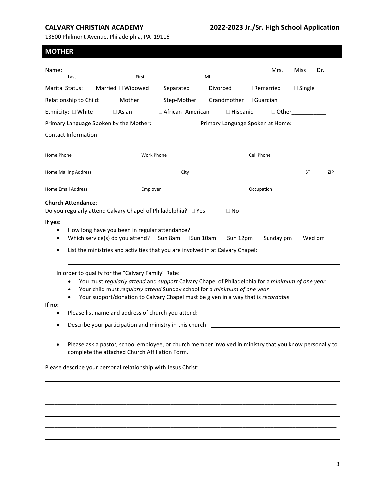| <b>MOTHER</b>                                                                                                  |                                                                                                                                                               |                       |                                    |                  |                                                                                                         |
|----------------------------------------------------------------------------------------------------------------|---------------------------------------------------------------------------------------------------------------------------------------------------------------|-----------------------|------------------------------------|------------------|---------------------------------------------------------------------------------------------------------|
|                                                                                                                |                                                                                                                                                               |                       |                                    | Mrs.             | <b>Miss</b><br>Dr.                                                                                      |
| Last                                                                                                           | First                                                                                                                                                         |                       | MI                                 |                  |                                                                                                         |
| Marital Status: $\Box$ Married $\Box$ Widowed                                                                  |                                                                                                                                                               | $\Box$ Separated      | $\Box$ Divorced                    | $\Box$ Remarried | $\Box$ Single                                                                                           |
| Relationship to Child:                                                                                         | $\Box$ Mother                                                                                                                                                 | $\square$ Step-Mother | $\Box$ Grandmother $\Box$ Guardian |                  |                                                                                                         |
| Ethnicity: □ White                                                                                             | $\Box$ Asian                                                                                                                                                  | □ African- American   | $\Box$ Hispanic                    |                  |                                                                                                         |
| Primary Language Spoken by the Mother: ________________________ Primary Language Spoken at Home: _____________ |                                                                                                                                                               |                       |                                    |                  |                                                                                                         |
| Contact Information:                                                                                           |                                                                                                                                                               |                       |                                    |                  |                                                                                                         |
| Home Phone                                                                                                     |                                                                                                                                                               | Work Phone            |                                    | Cell Phone       |                                                                                                         |
| <b>Home Mailing Address</b>                                                                                    |                                                                                                                                                               | City                  |                                    |                  | ST<br>ZIP                                                                                               |
| <b>Home Email Address</b>                                                                                      | Employer                                                                                                                                                      |                       |                                    | Occupation       |                                                                                                         |
| $\bullet$<br>In order to qualify for the "Calvary Family" Rate:<br>$\bullet$                                   | You must regularly attend and support Calvary Chapel of Philadelphia for a minimum of one year                                                                |                       |                                    |                  | List the ministries and activities that you are involved in at Calvary Chapel: _____________________    |
| ٠<br>$\bullet$<br>If no:                                                                                       | Your child must regularly attend Sunday school for a minimum of one year<br>Your support/donation to Calvary Chapel must be given in a way that is recordable |                       |                                    |                  |                                                                                                         |
|                                                                                                                | Please list name and address of church you attend: _____________________________                                                                              |                       |                                    |                  |                                                                                                         |
| $\bullet$                                                                                                      | Describe your participation and ministry in this church:                                                                                                      |                       |                                    |                  |                                                                                                         |
|                                                                                                                | complete the attached Church Affiliation Form.                                                                                                                |                       |                                    |                  | Please ask a pastor, school employee, or church member involved in ministry that you know personally to |
| Please describe your personal relationship with Jesus Christ:                                                  |                                                                                                                                                               |                       |                                    |                  |                                                                                                         |
|                                                                                                                |                                                                                                                                                               |                       |                                    |                  |                                                                                                         |
|                                                                                                                |                                                                                                                                                               |                       |                                    |                  |                                                                                                         |
|                                                                                                                |                                                                                                                                                               |                       |                                    |                  |                                                                                                         |

 $\mathcal{L}_\mathcal{L} = \{ \mathcal{L}_\mathcal{L} = \{ \mathcal{L}_\mathcal{L} = \{ \mathcal{L}_\mathcal{L} = \{ \mathcal{L}_\mathcal{L} = \{ \mathcal{L}_\mathcal{L} = \{ \mathcal{L}_\mathcal{L} = \{ \mathcal{L}_\mathcal{L} = \{ \mathcal{L}_\mathcal{L} = \{ \mathcal{L}_\mathcal{L} = \{ \mathcal{L}_\mathcal{L} = \{ \mathcal{L}_\mathcal{L} = \{ \mathcal{L}_\mathcal{L} = \{ \mathcal{L}_\mathcal{L} = \{ \mathcal{L}_\mathcal{$  $\mathcal{L}_\mathcal{L} = \{ \mathcal{L}_\mathcal{L} = \{ \mathcal{L}_\mathcal{L} = \{ \mathcal{L}_\mathcal{L} = \{ \mathcal{L}_\mathcal{L} = \{ \mathcal{L}_\mathcal{L} = \{ \mathcal{L}_\mathcal{L} = \{ \mathcal{L}_\mathcal{L} = \{ \mathcal{L}_\mathcal{L} = \{ \mathcal{L}_\mathcal{L} = \{ \mathcal{L}_\mathcal{L} = \{ \mathcal{L}_\mathcal{L} = \{ \mathcal{L}_\mathcal{L} = \{ \mathcal{L}_\mathcal{L} = \{ \mathcal{L}_\mathcal{$  $\mathcal{L}_\mathcal{L} = \{ \mathcal{L}_\mathcal{L} = \{ \mathcal{L}_\mathcal{L} = \{ \mathcal{L}_\mathcal{L} = \{ \mathcal{L}_\mathcal{L} = \{ \mathcal{L}_\mathcal{L} = \{ \mathcal{L}_\mathcal{L} = \{ \mathcal{L}_\mathcal{L} = \{ \mathcal{L}_\mathcal{L} = \{ \mathcal{L}_\mathcal{L} = \{ \mathcal{L}_\mathcal{L} = \{ \mathcal{L}_\mathcal{L} = \{ \mathcal{L}_\mathcal{L} = \{ \mathcal{L}_\mathcal{L} = \{ \mathcal{L}_\mathcal{$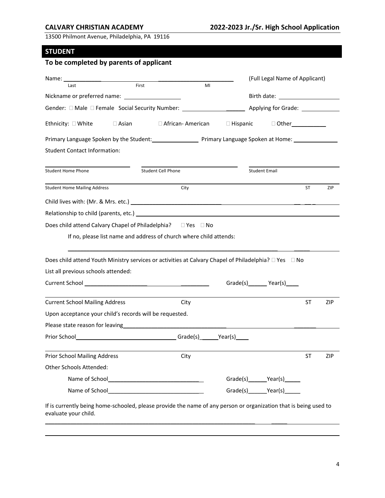# **STUDENT**

| <b>Name:</b> <u>Last First</u>                                                                                                                                                                                                                                                                                                                                                                                                                                                                            |              |                                                                    | MI       | (Full Legal Name of Applicant)          |           |     |
|-----------------------------------------------------------------------------------------------------------------------------------------------------------------------------------------------------------------------------------------------------------------------------------------------------------------------------------------------------------------------------------------------------------------------------------------------------------------------------------------------------------|--------------|--------------------------------------------------------------------|----------|-----------------------------------------|-----------|-----|
|                                                                                                                                                                                                                                                                                                                                                                                                                                                                                                           |              |                                                                    |          |                                         |           |     |
|                                                                                                                                                                                                                                                                                                                                                                                                                                                                                                           |              |                                                                    |          | Birth date: <u>____________________</u> |           |     |
| Gender: $\Box$ Male $\Box$ Female Social Security Number: ___________________________ Applying for Grade: ______________                                                                                                                                                                                                                                                                                                                                                                                  |              |                                                                    |          |                                         |           |     |
| Ethnicity: □ White                                                                                                                                                                                                                                                                                                                                                                                                                                                                                        | $\Box$ Asian | □ African- American    □ Hispanic    □ Other ____________          |          |                                         |           |     |
| Primary Language Spoken by the Student: ________________________ Primary Language Spoken at Home: ____________                                                                                                                                                                                                                                                                                                                                                                                            |              |                                                                    |          |                                         |           |     |
| <b>Student Contact Information:</b>                                                                                                                                                                                                                                                                                                                                                                                                                                                                       |              |                                                                    |          |                                         |           |     |
|                                                                                                                                                                                                                                                                                                                                                                                                                                                                                                           |              |                                                                    |          |                                         |           |     |
| <b>Student Home Phone</b>                                                                                                                                                                                                                                                                                                                                                                                                                                                                                 |              | <b>Student Cell Phone</b>                                          |          | <b>Student Email</b>                    |           |     |
| <b>Student Home Mailing Address</b>                                                                                                                                                                                                                                                                                                                                                                                                                                                                       |              | City                                                               |          |                                         | <b>ST</b> | ZIP |
|                                                                                                                                                                                                                                                                                                                                                                                                                                                                                                           |              |                                                                    |          |                                         |           |     |
|                                                                                                                                                                                                                                                                                                                                                                                                                                                                                                           |              |                                                                    |          |                                         |           |     |
|                                                                                                                                                                                                                                                                                                                                                                                                                                                                                                           |              |                                                                    |          |                                         |           |     |
|                                                                                                                                                                                                                                                                                                                                                                                                                                                                                                           |              |                                                                    |          |                                         |           |     |
|                                                                                                                                                                                                                                                                                                                                                                                                                                                                                                           |              | If no, please list name and address of church where child attends: |          |                                         |           |     |
|                                                                                                                                                                                                                                                                                                                                                                                                                                                                                                           |              |                                                                    |          |                                         |           |     |
|                                                                                                                                                                                                                                                                                                                                                                                                                                                                                                           |              |                                                                    |          |                                         |           |     |
|                                                                                                                                                                                                                                                                                                                                                                                                                                                                                                           |              |                                                                    |          | Grade(s) ________ Year(s) _____         |           |     |
|                                                                                                                                                                                                                                                                                                                                                                                                                                                                                                           |              | City                                                               |          |                                         | <b>ST</b> | ZIP |
|                                                                                                                                                                                                                                                                                                                                                                                                                                                                                                           |              |                                                                    |          |                                         |           |     |
| Relationship to child (parents, etc.) Name of the state of the state of the state of the state of the state of<br>Does child attend Calvary Chapel of Philadelphia? □ Yes □ No<br>Does child attend Youth Ministry services or activities at Calvary Chapel of Philadelphia? □ Yes □ No<br>List all previous schools attended:<br><b>Current School Mailing Address</b><br>Upon acceptance your child's records will be requested.<br>Please state reason for leaving <b>State of the State of August</b> |              |                                                                    |          |                                         |           |     |
|                                                                                                                                                                                                                                                                                                                                                                                                                                                                                                           |              | Grade(s)                                                           | _Year(s) |                                         |           |     |
|                                                                                                                                                                                                                                                                                                                                                                                                                                                                                                           |              | City                                                               |          |                                         | <b>ST</b> | ZIP |
|                                                                                                                                                                                                                                                                                                                                                                                                                                                                                                           |              |                                                                    |          |                                         |           |     |
| Prior School<br><b>Prior School Mailing Address</b><br>Other Schools Attended:                                                                                                                                                                                                                                                                                                                                                                                                                            |              |                                                                    |          | Grade(s)________Year(s)______           |           |     |

\_\_\_\_\_\_\_\_\_\_\_\_\_\_\_\_\_\_\_\_\_\_\_\_\_\_\_\_\_\_\_\_\_\_\_\_\_\_\_\_\_\_\_\_\_\_\_\_\_\_\_\_\_\_\_\_\_\_\_\_\_\_\_\_\_\_\_ \_\_\_\_\_  $\overline{\phantom{a}}$  , and the contribution of the contribution of the contribution of the contribution of the contribution of the contribution of the contribution of the contribution of the contribution of the contribution of the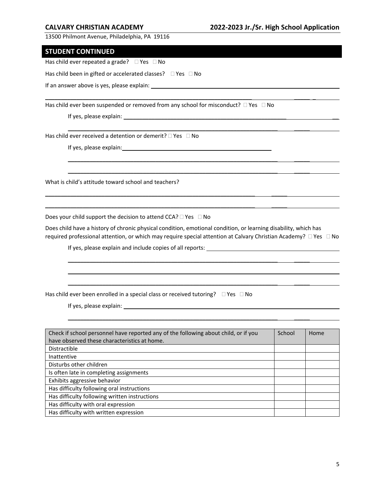## **STUDENT CONTINUED**

Has child ever repeated a grade?  $\Box$  Yes  $\Box$  No

Has child been in gifted or accelerated classes?  $\Box$  Yes  $\Box$  No

If an answer above is yes, please explain:  $\Box$ 

Has child ever been suspended or removed from any school for misconduct?  $\Box$  Yes  $\Box$  No

If yes, please explain: **Wese asset and all of yes** and all the set of the set of the set of the set of the set o

Has child ever received a detention or demerit?  $\Box$  Yes  $\Box$  No

If yes, please explain: \_\_\_\_\_\_\_\_\_\_\_\_\_\_\_\_\_\_\_\_\_\_\_\_\_ \_\_\_\_\_\_\_\_\_\_\_\_\_

What is child's attitude toward school and teachers?

Does your child support the decision to attend CCA?  $\Box$  Yes  $\Box$  No

Does child have a history of chronic physical condition, emotional condition, or learning disability, which has required professional attention, or which may require special attention at Calvary Christian Academy?  $\Box$  Yes  $\Box$  No

 $\mathcal{L}_\mathcal{L} = \mathcal{L}_\mathcal{L} = \mathcal{L}_\mathcal{L} = \mathcal{L}_\mathcal{L} = \mathcal{L}_\mathcal{L} = \mathcal{L}_\mathcal{L} = \mathcal{L}_\mathcal{L} = \mathcal{L}_\mathcal{L} = \mathcal{L}_\mathcal{L} = \mathcal{L}_\mathcal{L} = \mathcal{L}_\mathcal{L} = \mathcal{L}_\mathcal{L} = \mathcal{L}_\mathcal{L} = \mathcal{L}_\mathcal{L} = \mathcal{L}_\mathcal{L} = \mathcal{L}_\mathcal{L} = \mathcal{L}_\mathcal{L}$  $\mathcal{L}_\mathcal{L} = \mathcal{L}_\mathcal{L} = \mathcal{L}_\mathcal{L} = \mathcal{L}_\mathcal{L} = \mathcal{L}_\mathcal{L} = \mathcal{L}_\mathcal{L} = \mathcal{L}_\mathcal{L} = \mathcal{L}_\mathcal{L} = \mathcal{L}_\mathcal{L} = \mathcal{L}_\mathcal{L} = \mathcal{L}_\mathcal{L} = \mathcal{L}_\mathcal{L} = \mathcal{L}_\mathcal{L} = \mathcal{L}_\mathcal{L} = \mathcal{L}_\mathcal{L} = \mathcal{L}_\mathcal{L} = \mathcal{L}_\mathcal{L}$  $\mathcal{L}_\mathcal{L} = \mathcal{L}_\mathcal{L} = \mathcal{L}_\mathcal{L} = \mathcal{L}_\mathcal{L} = \mathcal{L}_\mathcal{L} = \mathcal{L}_\mathcal{L} = \mathcal{L}_\mathcal{L} = \mathcal{L}_\mathcal{L} = \mathcal{L}_\mathcal{L} = \mathcal{L}_\mathcal{L} = \mathcal{L}_\mathcal{L} = \mathcal{L}_\mathcal{L} = \mathcal{L}_\mathcal{L} = \mathcal{L}_\mathcal{L} = \mathcal{L}_\mathcal{L} = \mathcal{L}_\mathcal{L} = \mathcal{L}_\mathcal{L}$ 

 $\mathcal{L}_\mathcal{L} = \mathcal{L}_\mathcal{L} = \mathcal{L}_\mathcal{L} = \mathcal{L}_\mathcal{L} = \mathcal{L}_\mathcal{L} = \mathcal{L}_\mathcal{L} = \mathcal{L}_\mathcal{L} = \mathcal{L}_\mathcal{L} = \mathcal{L}_\mathcal{L} = \mathcal{L}_\mathcal{L} = \mathcal{L}_\mathcal{L} = \mathcal{L}_\mathcal{L} = \mathcal{L}_\mathcal{L} = \mathcal{L}_\mathcal{L} = \mathcal{L}_\mathcal{L} = \mathcal{L}_\mathcal{L} = \mathcal{L}_\mathcal{L}$ 

\_\_\_\_\_\_\_\_\_\_\_\_\_\_\_\_\_\_\_\_\_\_\_\_\_\_\_\_\_\_\_\_\_\_\_\_\_\_\_\_\_\_\_\_\_\_\_\_\_\_\_\_\_\_\_\_\_\_\_\_\_\_\_\_\_\_ \_\_\_\_\_ \_

 $\mathcal{L}_\text{max} = \frac{1}{2} \sum_{i=1}^n \mathcal{L}_\text{max} = \frac{1}{2} \sum_{i=1}^n \mathcal{L}_\text{max} = \frac{1}{2} \sum_{i=1}^n \mathcal{L}_\text{max} = \frac{1}{2} \sum_{i=1}^n \mathcal{L}_\text{max} = \frac{1}{2} \sum_{i=1}^n \mathcal{L}_\text{max} = \frac{1}{2} \sum_{i=1}^n \mathcal{L}_\text{max} = \frac{1}{2} \sum_{i=1}^n \mathcal{L}_\text{max} = \frac{1}{2} \sum_{i=$ 

\_\_\_\_\_\_\_\_\_\_\_\_\_\_\_\_\_\_\_\_\_\_\_\_\_\_\_\_\_\_\_\_\_\_\_\_\_\_\_\_\_\_\_\_\_\_\_\_\_\_\_\_\_\_\_\_\_\_\_\_\_\_\_\_\_\_\_ \_\_\_\_\_ \_\_\_\_\_\_\_\_\_\_\_\_\_\_\_\_\_\_\_\_\_\_\_\_\_\_\_\_\_\_\_\_\_\_\_\_\_\_\_\_\_\_\_\_\_\_\_\_\_\_\_\_\_\_\_\_\_\_\_\_\_\_\_\_\_\_\_ \_\_\_\_\_

\_\_\_\_\_\_\_\_\_\_\_\_\_\_\_\_\_\_\_\_\_\_\_\_\_\_\_\_\_\_\_\_\_\_\_\_\_\_\_\_\_\_\_\_\_\_\_\_\_\_\_\_\_\_\_\_\_\_\_\_\_\_\_\_\_\_\_ \_\_\_\_\_

\_\_\_\_\_\_\_\_\_\_\_\_\_\_\_\_\_\_\_\_\_\_\_\_\_\_\_\_\_\_\_\_\_\_\_\_\_\_\_\_\_\_\_\_\_\_\_\_\_\_\_\_\_\_\_\_\_\_\_\_\_\_\_\_\_\_\_ \_\_\_\_\_

If yes, please explain and include copies of all reports:

Has child ever been enrolled in a special class or received tutoring?  $\Box$  Yes  $\Box$  No

If yes, please explain: \_\_\_\_\_ \_\_\_\_\_\_\_\_\_\_\_\_\_\_\_\_\_\_\_\_\_\_\_\_\_\_\_\_\_\_\_\_\_\_\_\_\_\_\_\_\_\_\_\_\_\_\_\_\_

| Check if school personnel have reported any of the following about child, or if you<br>have observed these characteristics at home. | School | Home |
|-------------------------------------------------------------------------------------------------------------------------------------|--------|------|
| Distractible                                                                                                                        |        |      |
| Inattentive                                                                                                                         |        |      |
| Disturbs other children                                                                                                             |        |      |
| Is often late in completing assignments                                                                                             |        |      |
| Exhibits aggressive behavior                                                                                                        |        |      |
| Has difficulty following oral instructions                                                                                          |        |      |
| Has difficulty following written instructions                                                                                       |        |      |
| Has difficulty with oral expression                                                                                                 |        |      |
| Has difficulty with written expression                                                                                              |        |      |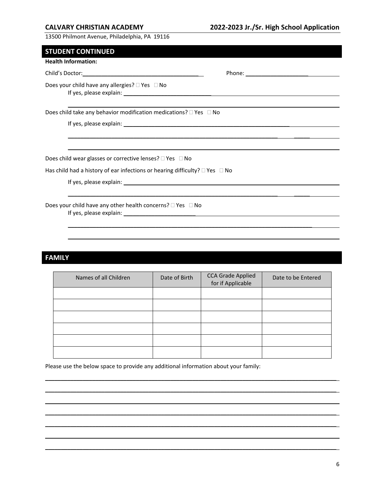# **STUDENT CONTINUED Health Information:** Child's Doctor:\_\_\_\_\_\_\_\_\_\_\_\_\_\_\_\_\_\_\_\_\_\_\_\_\_\_\_\_\_\_\_\_\_\_\_\_\_ Phone: \_\_\_\_\_\_\_\_\_\_\_\_\_\_\_\_\_\_\_\_ Does your child have any allergies?  $\Box$  Yes  $\Box$  No If yes, please explain: \_\_\_\_\_\_\_\_\_\_\_\_\_\_\_\_\_\_\_\_\_\_\_\_\_\_\_\_ \_\_\_\_\_\_\_\_\_\_\_\_\_\_\_\_\_\_\_\_\_\_\_\_\_\_\_\_\_\_\_\_\_\_\_\_\_\_\_\_\_\_\_\_\_\_\_\_\_\_\_\_\_\_\_\_\_\_\_\_\_\_\_\_\_\_\_\_\_\_\_\_\_\_\_\_\_\_ Does child take any behavior modification medications?  $\Box$  Yes  $\Box$  No If yes, please explain: \_\_\_\_\_\_\_\_\_\_\_\_\_\_\_\_\_\_\_\_\_\_\_\_\_\_\_\_\_\_\_\_\_\_\_\_\_\_\_\_\_\_\_\_\_\_\_\_\_\_\_\_\_  $\mathcal{L}_\mathcal{L} = \mathcal{L}_\mathcal{L} = \mathcal{L}_\mathcal{L} = \mathcal{L}_\mathcal{L} = \mathcal{L}_\mathcal{L} = \mathcal{L}_\mathcal{L} = \mathcal{L}_\mathcal{L} = \mathcal{L}_\mathcal{L} = \mathcal{L}_\mathcal{L} = \mathcal{L}_\mathcal{L} = \mathcal{L}_\mathcal{L} = \mathcal{L}_\mathcal{L} = \mathcal{L}_\mathcal{L} = \mathcal{L}_\mathcal{L} = \mathcal{L}_\mathcal{L} = \mathcal{L}_\mathcal{L} = \mathcal{L}_\mathcal{L}$  $\mathcal{L}_\mathcal{L} = \mathcal{L}_\mathcal{L} = \mathcal{L}_\mathcal{L} = \mathcal{L}_\mathcal{L} = \mathcal{L}_\mathcal{L} = \mathcal{L}_\mathcal{L} = \mathcal{L}_\mathcal{L} = \mathcal{L}_\mathcal{L} = \mathcal{L}_\mathcal{L} = \mathcal{L}_\mathcal{L} = \mathcal{L}_\mathcal{L} = \mathcal{L}_\mathcal{L} = \mathcal{L}_\mathcal{L} = \mathcal{L}_\mathcal{L} = \mathcal{L}_\mathcal{L} = \mathcal{L}_\mathcal{L} = \mathcal{L}_\mathcal{L}$ Does child wear glasses or corrective lenses?  $\Box$  Yes  $\Box$  No Has child had a history of ear infections or hearing difficulty?  $\Box$  Yes  $\Box$  No If yes, please explain: \_\_\_\_\_\_\_\_\_\_\_\_\_\_\_\_\_\_\_\_\_\_\_\_\_\_\_\_\_\_\_\_\_\_\_\_\_\_\_\_\_\_\_\_\_\_\_\_\_\_\_\_\_  $\mathcal{L}_\mathcal{L} = \mathcal{L}_\mathcal{L} = \mathcal{L}_\mathcal{L} = \mathcal{L}_\mathcal{L} = \mathcal{L}_\mathcal{L} = \mathcal{L}_\mathcal{L} = \mathcal{L}_\mathcal{L} = \mathcal{L}_\mathcal{L} = \mathcal{L}_\mathcal{L} = \mathcal{L}_\mathcal{L} = \mathcal{L}_\mathcal{L} = \mathcal{L}_\mathcal{L} = \mathcal{L}_\mathcal{L} = \mathcal{L}_\mathcal{L} = \mathcal{L}_\mathcal{L} = \mathcal{L}_\mathcal{L} = \mathcal{L}_\mathcal{L}$ Does your child have any other health concerns?  $\Box$  Yes  $\Box$  No If yes, please explain: \_\_\_\_\_\_\_\_\_\_\_\_\_\_\_\_\_\_\_\_\_\_\_ \_\_\_\_\_\_\_\_\_\_\_\_\_\_\_\_\_\_\_\_\_\_\_\_\_\_\_\_\_\_\_\_\_\_\_\_\_\_\_\_\_\_\_\_\_\_\_\_\_\_\_\_\_\_\_\_\_\_\_\_\_\_\_\_\_\_\_\_\_\_\_\_\_\_\_\_\_\_ \_\_\_\_\_\_\_\_\_\_\_\_\_\_\_\_\_\_\_\_\_\_\_\_\_\_\_\_\_\_\_\_\_\_\_\_\_\_\_\_\_\_\_\_\_\_\_\_\_\_\_\_\_\_\_\_\_\_\_\_\_\_\_\_\_\_\_\_\_\_\_\_\_\_\_\_\_\_

# **FAMILY**

| Names of all Children | Date of Birth | <b>CCA Grade Applied</b><br>for if Applicable | Date to be Entered |
|-----------------------|---------------|-----------------------------------------------|--------------------|
|                       |               |                                               |                    |
|                       |               |                                               |                    |
|                       |               |                                               |                    |
|                       |               |                                               |                    |
|                       |               |                                               |                    |
|                       |               |                                               |                    |

 $\mathcal{L}_\mathcal{L} = \{ \mathcal{L}_\mathcal{L} = \{ \mathcal{L}_\mathcal{L} = \{ \mathcal{L}_\mathcal{L} = \{ \mathcal{L}_\mathcal{L} = \{ \mathcal{L}_\mathcal{L} = \{ \mathcal{L}_\mathcal{L} = \{ \mathcal{L}_\mathcal{L} = \{ \mathcal{L}_\mathcal{L} = \{ \mathcal{L}_\mathcal{L} = \{ \mathcal{L}_\mathcal{L} = \{ \mathcal{L}_\mathcal{L} = \{ \mathcal{L}_\mathcal{L} = \{ \mathcal{L}_\mathcal{L} = \{ \mathcal{L}_\mathcal{$  $\mathcal{L}_\mathcal{L} = \{ \mathcal{L}_\mathcal{L} = \{ \mathcal{L}_\mathcal{L} = \{ \mathcal{L}_\mathcal{L} = \{ \mathcal{L}_\mathcal{L} = \{ \mathcal{L}_\mathcal{L} = \{ \mathcal{L}_\mathcal{L} = \{ \mathcal{L}_\mathcal{L} = \{ \mathcal{L}_\mathcal{L} = \{ \mathcal{L}_\mathcal{L} = \{ \mathcal{L}_\mathcal{L} = \{ \mathcal{L}_\mathcal{L} = \{ \mathcal{L}_\mathcal{L} = \{ \mathcal{L}_\mathcal{L} = \{ \mathcal{L}_\mathcal{$  $\mathcal{L}_\mathcal{L} = \{ \mathcal{L}_\mathcal{L} = \{ \mathcal{L}_\mathcal{L} = \{ \mathcal{L}_\mathcal{L} = \{ \mathcal{L}_\mathcal{L} = \{ \mathcal{L}_\mathcal{L} = \{ \mathcal{L}_\mathcal{L} = \{ \mathcal{L}_\mathcal{L} = \{ \mathcal{L}_\mathcal{L} = \{ \mathcal{L}_\mathcal{L} = \{ \mathcal{L}_\mathcal{L} = \{ \mathcal{L}_\mathcal{L} = \{ \mathcal{L}_\mathcal{L} = \{ \mathcal{L}_\mathcal{L} = \{ \mathcal{L}_\mathcal{$ \_\_\_\_\_\_\_\_\_\_\_\_\_\_\_\_\_\_\_\_\_\_\_\_\_\_\_\_\_\_\_\_\_\_\_\_\_\_\_\_\_\_\_\_\_\_\_\_\_\_\_\_\_\_\_\_\_\_\_\_\_\_\_\_\_\_\_\_\_\_\_\_\_\_\_\_\_\_\_\_\_\_\_\_\_\_\_\_\_\_\_\_\_ \_\_\_\_\_\_\_\_\_\_\_\_\_\_\_\_\_\_\_\_\_\_\_\_\_\_\_\_\_\_\_\_\_\_\_\_\_\_\_\_\_\_\_\_\_\_\_\_\_\_\_\_\_\_\_\_\_\_\_\_\_\_\_\_\_\_\_\_\_\_\_\_\_\_\_\_\_\_\_\_\_\_\_\_\_\_\_\_\_\_\_\_\_ \_\_\_\_\_\_\_\_\_\_\_\_\_\_\_\_\_\_\_\_\_\_\_\_\_\_\_\_\_\_\_\_\_\_\_\_\_\_\_\_\_\_\_\_\_\_\_\_\_\_\_\_\_\_\_\_\_\_\_\_\_\_\_\_\_\_\_\_\_\_\_\_\_\_\_\_\_\_\_\_\_\_\_\_\_\_\_\_\_\_\_\_\_  $\mathcal{L}_\mathcal{L} = \{ \mathcal{L}_\mathcal{L} = \{ \mathcal{L}_\mathcal{L} = \{ \mathcal{L}_\mathcal{L} = \{ \mathcal{L}_\mathcal{L} = \{ \mathcal{L}_\mathcal{L} = \{ \mathcal{L}_\mathcal{L} = \{ \mathcal{L}_\mathcal{L} = \{ \mathcal{L}_\mathcal{L} = \{ \mathcal{L}_\mathcal{L} = \{ \mathcal{L}_\mathcal{L} = \{ \mathcal{L}_\mathcal{L} = \{ \mathcal{L}_\mathcal{L} = \{ \mathcal{L}_\mathcal{L} = \{ \mathcal{L}_\mathcal{$ 

Please use the below space to provide any additional information about your family: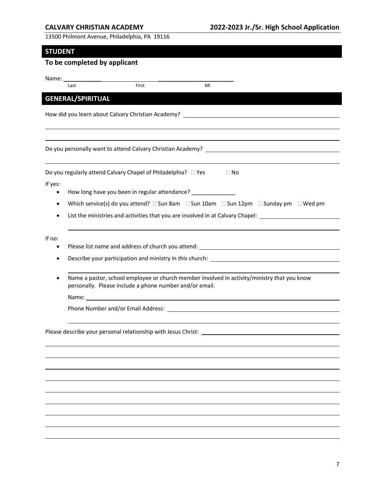# **STUDENT To be completed by applicant**  Name: \_\_\_\_\_\_\_\_\_\_\_\_ \_\_\_\_\_\_\_\_\_\_\_\_\_\_\_\_\_\_\_\_\_\_\_\_ Last **Contract Contract Contract Contract Contract Contract Contract Contract Contract Contract Contract Contra GENERAL/SPIRITUAL**  How did you learn about Calvary Christian Academy? <u> 1989 - Johann Stoff, amerikansk politiker (d. 1989)</u> Do you personally want to attend Calvary Christian Academy? <u> 1989 - Johann Stoff, amerikansk politiker (d. 1989)</u> Do you regularly attend Calvary Chapel of Philadelphia?  $\Box$  Yes  $\Box$  No If yes: • How long have you been in regular attendance? • Which service(s) do you attend?  $\square$  Sun 8am  $\square$  Sun 10am  $\square$  Sun 12pm  $\square$  Sunday pm  $\square$  Wed pm • List the ministries and activities that you are involved in at Calvary Chapel: \_\_\_\_\_\_\_\_\_\_\_\_\_\_\_\_\_\_\_\_\_\_\_\_\_\_\_\_\_  $\overline{\phantom{a}}$  , and the contract of the contract of the contract of the contract of the contract of the contract of the contract of the contract of the contract of the contract of the contract of the contract of the contrac If no: • Please list name and address of church you attend: Department of the change of the change of the change of the change of the change of the change of the change of the change of the change of the change of the change of t Describe your participation and ministry in this church:  $\overline{\phantom{a}}$  , and the contract of the contract of the contract of the contract of the contract of the contract of the contract of the contract of the contract of the contract of the contract of the contract of the contrac Name a pastor, school employee or church member involved in activity/ministry that you know personally. Please include a phone number and/or email. Name: Phone Number and/or Email Address: <u> 1989 - Johann Stoff, amerikansk politiker (d. 1989)</u> Please describe your personal relationship with Jesus Christ: \_\_\_\_\_\_\_\_\_\_\_\_\_\_\_\_\_\_ <u> 1989 - Johann Stoff, amerikansk politiker (d. 1989)</u>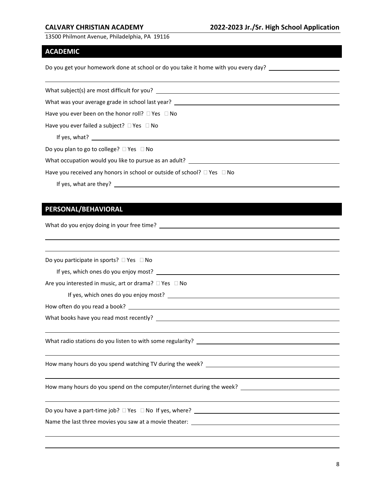# **ACADEMIC**

Do you get your homework done at school or do you take it home with you every day? \_\_\_\_\_\_\_\_\_\_\_\_\_\_\_\_\_\_\_\_\_\_\_\_\_\_\_

| What was your average grade in school last year?                                        |
|-----------------------------------------------------------------------------------------|
| Have you ever been on the honor roll? $\Box$ Yes $\Box$ No                              |
| Have you ever failed a subject? $\Box$ Yes $\Box$ No                                    |
|                                                                                         |
| Do you plan to go to college? $\Box$ Yes $\Box$ No                                      |
| What occupation would you like to pursue as an adult?                                   |
| Have you received any honors in school or outside of school? $\square$ Yes $\square$ No |
| If yes, what are they?                                                                  |

<u> 1989 - Johann Stoff, amerikansk politiker (d. 1989)</u>

# **PERSONAL/BEHAVIORAL**

What do you enjoy doing in your free time?

| Do you participate in sports? $\Box$ Yes $\Box$ No                               |
|----------------------------------------------------------------------------------|
|                                                                                  |
| Are you interested in music, art or drama? □ Yes □ No                            |
|                                                                                  |
|                                                                                  |
|                                                                                  |
|                                                                                  |
| ,我们也不会有什么。""我们的人,我们也不会有什么?""我们的人,我们也不会有什么?""我们的人,我们也不会有什么?""我们的人,我们也不会有什么?""我们的人 |
|                                                                                  |
| ,我们也不会有什么?""我们的人,我们也不会有什么?""我们的人,我们也不会有什么?""我们的人,我们也不会有什么?""我们的人,我们也不会有什么?""我们的人 |
|                                                                                  |
|                                                                                  |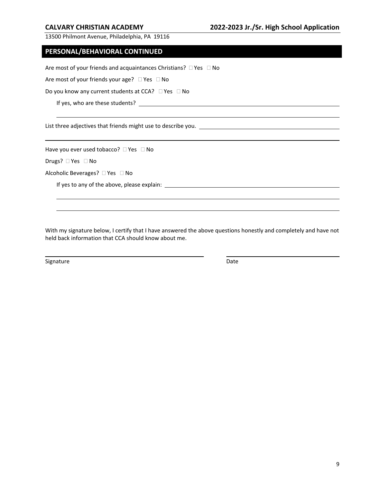# **PERSONAL/BEHAVIORAL CONTINUED**

Are most of your friends and acquaintances Christians?  $\Box$  Yes  $\Box$  No

Are most of your friends your age?  $\Box$  Yes  $\Box$  No

Do you know any current students at CCA?  $\Box$  Yes  $\Box$  No

If yes, who are these students?

List three adjectives that friends might use to describe you.

Have you ever used tobacco?  $\Box$  Yes  $\Box$  No

Drugs? Yes No

Alcoholic Beverages? Yes No

If yes to any of the above, please explain:

With my signature below, I certify that I have answered the above questions honestly and completely and have not held back information that CCA should know about me.

<u> 1990 - Jan Samuel Barbara, martin da shekara 1991 - Andrea Samuel Barbara, mashrida a shekara 1991 - Andrea S</u>

<u> 1989 - Johann Stoff, amerikansk politiker (d. 1989)</u>

<u> 1989 - Johann Stoff, amerikansk politiker (d. 1989)</u>

<u> 1989 - Johann Stoff, amerikansk politiker (d. 1989)</u>

Signature Date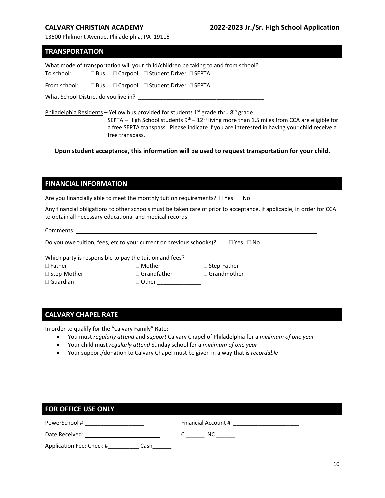# **TRANSPORTATION**

|                                      |  | What mode of transportation will your child/children be taking to and from school?                                                                                                                                                                                                                                           |
|--------------------------------------|--|------------------------------------------------------------------------------------------------------------------------------------------------------------------------------------------------------------------------------------------------------------------------------------------------------------------------------|
|                                      |  | To school: $\square$ Bus $\square$ Carpool $\square$ Student Driver $\square$ SEPTA                                                                                                                                                                                                                                          |
|                                      |  | From school: □ Bus □ Carpool □ Student Driver □ SEPTA                                                                                                                                                                                                                                                                        |
| What School District do you live in? |  |                                                                                                                                                                                                                                                                                                                              |
|                                      |  | Philadelphia Residents – Yellow bus provided for students 1 <sup>st</sup> grade thru 8 <sup>th</sup> grade.<br>SEPTA – High School students $9^{th}$ – 12 <sup>th</sup> living more than 1.5 miles from CCA are eligible for<br>a free SEPTA transpass. Please indicate if you are interested in having your child receive a |

**Upon student acceptance, this information will be used to request transportation for your child.** 

# **FINANCIAL INFORMATION**

Are you financially able to meet the monthly tuition requirements?  $\Box$  Yes  $\Box$  No

free transpass. \_\_\_\_\_\_\_\_\_\_\_\_\_\_\_

Any financial obligations to other schools must be taken care of prior to acceptance, if applicable, in order for CCA to obtain all necessary educational and medical records.

| Comments:                                                            |                    |                      |
|----------------------------------------------------------------------|--------------------|----------------------|
| Do you owe tuition, fees, etc to your current or previous school(s)? |                    | $\Box$ Yes $\Box$ No |
| Which party is responsible to pay the tuition and fees?              |                    |                      |
| $\Box$ Father                                                        | Mother             | $\Box$ Step-Father   |
| $\Box$ Step-Mother                                                   | $\Box$ Grandfather | $\Box$ Grandmother   |
| $\Box$ Guardian                                                      | $\Box$ Other $\,$  |                      |
|                                                                      |                    |                      |

# **CALVARY CHAPEL RATE**

In order to qualify for the "Calvary Family" Rate:

- You must *regularly attend* and *support* Calvary Chapel of Philadelphia for a *minimum of one year*
- Your child must *regularly attend* Sunday school for a *minimum of one year*
- Your support/donation to Calvary Chapel must be given in a way that is *recordable*

| <b>FOR OFFICE USE ONLY</b>                                                                                                                                                                                                     |                     |
|--------------------------------------------------------------------------------------------------------------------------------------------------------------------------------------------------------------------------------|---------------------|
|                                                                                                                                                                                                                                |                     |
| PowerSchool #:                                                                                                                                                                                                                 | Financial Account # |
|                                                                                                                                                                                                                                |                     |
| Date Received: National Action of the Second State Second State State State State State State State State State State State State State State State State State State State State State State State State State State State St | NC.                 |
|                                                                                                                                                                                                                                |                     |
| Application Fee: Check #<br>Cash                                                                                                                                                                                               |                     |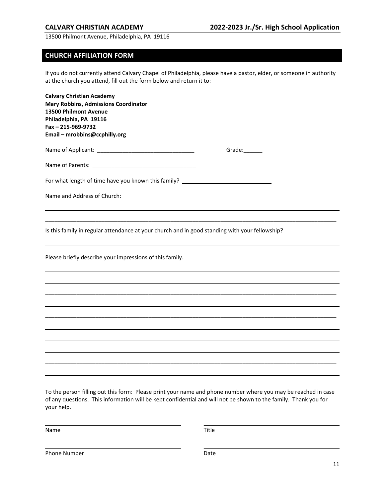# **CHURCH AFFILIATION FORM**

| If you do not currently attend Calvary Chapel of Philadelphia, please have a pastor, elder, or someone in authority |  |
|---------------------------------------------------------------------------------------------------------------------|--|
| at the church you attend, fill out the form below and return it to:                                                 |  |

| <b>Calvary Christian Academy</b><br><b>Mary Robbins, Admissions Coordinator</b><br>13500 Philmont Avenue<br>Philadelphia, PA 19116<br>Fax - 215-969-9732<br>Email - mrobbins@ccphilly.org |  |
|-------------------------------------------------------------------------------------------------------------------------------------------------------------------------------------------|--|
|                                                                                                                                                                                           |  |
|                                                                                                                                                                                           |  |
| For what length of time have you known this family? ____________________________                                                                                                          |  |
| Name and Address of Church:                                                                                                                                                               |  |
|                                                                                                                                                                                           |  |
| Is this family in regular attendance at your church and in good standing with your fellowship?                                                                                            |  |
| Please briefly describe your impressions of this family.                                                                                                                                  |  |
|                                                                                                                                                                                           |  |
|                                                                                                                                                                                           |  |
|                                                                                                                                                                                           |  |
|                                                                                                                                                                                           |  |
|                                                                                                                                                                                           |  |
|                                                                                                                                                                                           |  |
|                                                                                                                                                                                           |  |

To the person filling out this form: Please print your name and phone number where you may be reached in case of any questions. This information will be kept confidential and will not be shown to the family. Thank you for your help.

\_\_\_\_\_\_\_\_\_\_\_\_\_\_\_\_\_\_ \_\_\_\_\_\_\_\_ \_\_\_\_\_\_\_\_\_\_\_\_\_\_\_

\_\_\_\_\_\_\_\_\_\_\_\_\_\_\_\_\_\_\_\_\_\_ \_\_\_\_ \_\_\_\_\_\_\_\_\_\_\_\_\_\_\_\_\_\_\_\_

\_\_\_\_\_\_\_\_\_\_\_\_\_\_\_\_\_\_\_\_\_\_\_\_\_\_\_\_\_\_\_\_\_\_\_\_\_\_\_\_\_\_\_\_\_\_\_\_\_\_\_\_\_\_\_\_\_\_\_\_\_\_\_\_\_\_\_\_\_\_\_\_\_\_\_\_\_\_\_\_\_\_\_\_\_\_\_\_\_\_\_\_\_

Name **Title** 

Phone Number **Date**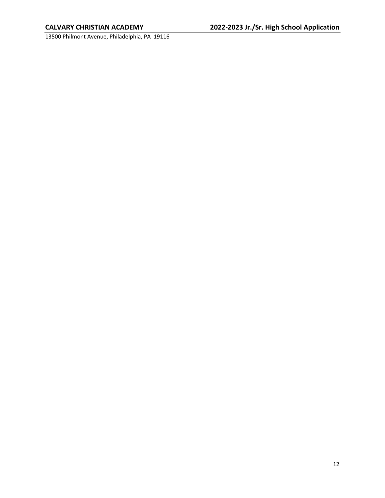12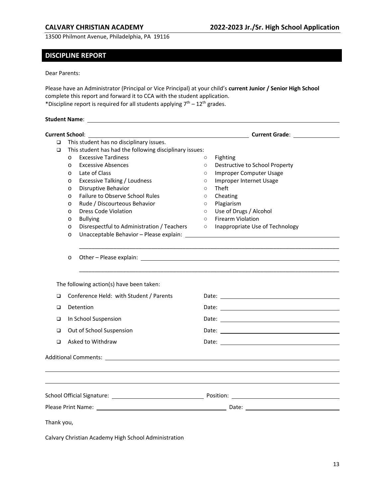# **DISCIPLINE REPORT**

Dear Parents:

Please have an Administrator (Principal or Vice Principal) at your child's **current Junior / Senior High School** complete this report and forward it to CCA with the student application. \*Discipline report is required for all students applying  $7<sup>th</sup> - 12<sup>th</sup>$  grades.

# **Student Name**:

|                                               | Current School: _________                                                                                                                                                                                                                                                                                                                             | Current Grade: National Assembly Current Grade:                                                                                                                                                                                     |  |
|-----------------------------------------------|-------------------------------------------------------------------------------------------------------------------------------------------------------------------------------------------------------------------------------------------------------------------------------------------------------------------------------------------------------|-------------------------------------------------------------------------------------------------------------------------------------------------------------------------------------------------------------------------------------|--|
| This student has no disciplinary issues.<br>◻ |                                                                                                                                                                                                                                                                                                                                                       |                                                                                                                                                                                                                                     |  |
| $\Box$                                        | This student has had the following disciplinary issues:                                                                                                                                                                                                                                                                                               |                                                                                                                                                                                                                                     |  |
|                                               | <b>Excessive Tardiness</b><br>$\Omega$                                                                                                                                                                                                                                                                                                                | Fighting<br>$\circ$                                                                                                                                                                                                                 |  |
|                                               | <b>Excessive Absences</b><br>$\circ$                                                                                                                                                                                                                                                                                                                  | Destructive to School Property<br>$\circ$                                                                                                                                                                                           |  |
|                                               | Late of Class<br>$\circ$<br>Excessive Talking / Loudness<br>$\circ$<br>Disruptive Behavior<br>$\circ$<br>Failure to Observe School Rules<br>$\circ$<br>Rude / Discourteous Behavior<br>$\circ$<br><b>Dress Code Violation</b><br>$\circ$<br><b>Bullying</b><br>$\circ$<br>Disrespectful to Administration / Teachers<br>$\circ$<br>$\circ$<br>$\circ$ | Improper Computer Usage<br>$\circ$                                                                                                                                                                                                  |  |
|                                               |                                                                                                                                                                                                                                                                                                                                                       | Improper Internet Usage<br>$\circ$                                                                                                                                                                                                  |  |
|                                               |                                                                                                                                                                                                                                                                                                                                                       | Theft<br>$\circ$                                                                                                                                                                                                                    |  |
|                                               |                                                                                                                                                                                                                                                                                                                                                       | Cheating<br>$\circ$                                                                                                                                                                                                                 |  |
|                                               |                                                                                                                                                                                                                                                                                                                                                       | Plagiarism<br>$\circ$                                                                                                                                                                                                               |  |
|                                               |                                                                                                                                                                                                                                                                                                                                                       | Use of Drugs / Alcohol<br>$\circ$                                                                                                                                                                                                   |  |
|                                               |                                                                                                                                                                                                                                                                                                                                                       | <b>Firearm Violation</b><br>$\circ$                                                                                                                                                                                                 |  |
|                                               |                                                                                                                                                                                                                                                                                                                                                       | Inappropriate Use of Technology<br>$\circ$                                                                                                                                                                                          |  |
|                                               |                                                                                                                                                                                                                                                                                                                                                       |                                                                                                                                                                                                                                     |  |
|                                               |                                                                                                                                                                                                                                                                                                                                                       |                                                                                                                                                                                                                                     |  |
|                                               |                                                                                                                                                                                                                                                                                                                                                       |                                                                                                                                                                                                                                     |  |
|                                               |                                                                                                                                                                                                                                                                                                                                                       |                                                                                                                                                                                                                                     |  |
|                                               | The following action(s) have been taken:                                                                                                                                                                                                                                                                                                              |                                                                                                                                                                                                                                     |  |
|                                               |                                                                                                                                                                                                                                                                                                                                                       |                                                                                                                                                                                                                                     |  |
| $\Box$                                        | Conference Held: with Student / Parents                                                                                                                                                                                                                                                                                                               |                                                                                                                                                                                                                                     |  |
| $\Box$                                        | Detention                                                                                                                                                                                                                                                                                                                                             |                                                                                                                                                                                                                                     |  |
| In School Suspension<br>$\Box$                |                                                                                                                                                                                                                                                                                                                                                       | Date: <u>Date: Explorer</u> Partnership and the second partnership and the second partnership and the second partnership and the second partnership and the second partnership and the second partnership and the second partnershi |  |
| $\Box$                                        | Out of School Suspension                                                                                                                                                                                                                                                                                                                              |                                                                                                                                                                                                                                     |  |
| $\Box$                                        | Asked to Withdraw                                                                                                                                                                                                                                                                                                                                     |                                                                                                                                                                                                                                     |  |
|                                               |                                                                                                                                                                                                                                                                                                                                                       |                                                                                                                                                                                                                                     |  |
|                                               |                                                                                                                                                                                                                                                                                                                                                       |                                                                                                                                                                                                                                     |  |
|                                               |                                                                                                                                                                                                                                                                                                                                                       |                                                                                                                                                                                                                                     |  |
|                                               |                                                                                                                                                                                                                                                                                                                                                       |                                                                                                                                                                                                                                     |  |
|                                               |                                                                                                                                                                                                                                                                                                                                                       |                                                                                                                                                                                                                                     |  |
|                                               |                                                                                                                                                                                                                                                                                                                                                       |                                                                                                                                                                                                                                     |  |
| Thank you,                                    |                                                                                                                                                                                                                                                                                                                                                       |                                                                                                                                                                                                                                     |  |

Calvary Christian Academy High School Administration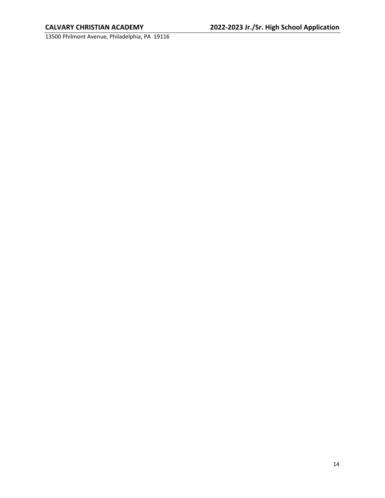14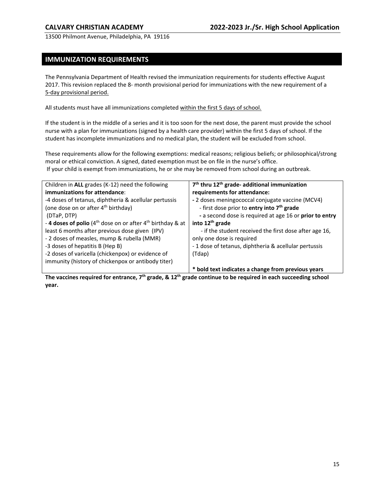# **IMMUNIZATION REQUIREMENTS**

The Pennsylvania Department of Health revised the immunization requirements for students effective August 2017. This revision replaced the 8‐ month provisional period for immunizations with the new requirement of a 5‐day provisional period.

All students must have all immunizations completed within the first 5 days of school.

If the student is in the middle of a series and it is too soon for the next dose, the parent must provide the school nurse with a plan for immunizations (signed by a health care provider) within the first 5 days of school. If the student has incomplete immunizations and no medical plan, the student will be excluded from school.

These requirements allow for the following exemptions: medical reasons; religious beliefs; or philosophical/strong moral or ethical conviction. A signed, dated exemption must be on file in the nurse's office. If your child is exempt from immunizations, he or she may be removed from school during an outbreak.

| Children in ALL grades (K-12) need the following                | 7 <sup>th</sup> thru 12 <sup>th</sup> grade- additional immunization |  |
|-----------------------------------------------------------------|----------------------------------------------------------------------|--|
| immunizations for attendance:                                   | requirements for attendance:                                         |  |
| -4 doses of tetanus, diphtheria & acellular pertussis           | - 2 doses meningococcal conjugate vaccine (MCV4)                     |  |
| (one dose on or after 4 <sup>th</sup> birthday)                 | - first dose prior to entry into 7 <sup>th</sup> grade               |  |
| (DTaP, DTP)                                                     | - a second dose is required at age 16 or prior to entry              |  |
| - 4 doses of polio ( $4th$ dose on or after $4th$ birthday & at | into $12th$ grade                                                    |  |
| least 6 months after previous dose given (IPV)                  | - if the student received the first dose after age 16,               |  |
| - 2 doses of measles, mump & rubella (MMR)                      | only one dose is required                                            |  |
| -3 doses of hepatitis B (Hep B)                                 | - 1 dose of tetanus, diphtheria & acellular pertussis                |  |
| -2 doses of varicella (chickenpox) or evidence of               | (Tdap)                                                               |  |
| immunity (history of chickenpox or antibody titer)              |                                                                      |  |
|                                                                 | * bold text indicates a change from previous years                   |  |

**The vaccines required for entrance, 7th grade, & 12th grade continue to be required in each succeeding school year.**